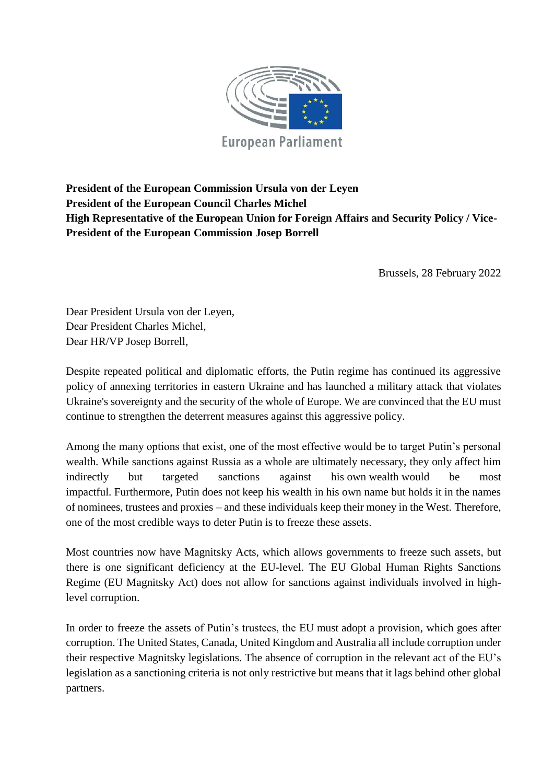

## **President of the European Commission Ursula von der Leyen President of the European Council Charles Michel High Representative of the European Union for Foreign Affairs and Security Policy / Vice-President of the European Commission Josep Borrell**

Brussels, 28 February 2022

Dear President Ursula von der Leyen, Dear President Charles Michel, Dear HR/VP Josep Borrell,

Despite repeated political and diplomatic efforts, the Putin regime has continued its aggressive policy of annexing territories in eastern Ukraine and has launched a military attack that violates Ukraine's sovereignty and the security of the whole of Europe. We are convinced that the EU must continue to strengthen the deterrent measures against this aggressive policy.

Among the many options that exist, one of the most effective would be to target Putin's personal wealth. While sanctions against Russia as a whole are ultimately necessary, they only affect him indirectly but targeted sanctions against his own wealth would be most impactful. Furthermore, Putin does not keep his wealth in his own name but holds it in the names of nominees, trustees and proxies – and these individuals keep their money in the West. Therefore, one of the most credible ways to deter Putin is to freeze these assets.

Most countries now have Magnitsky Acts, which allows governments to freeze such assets, but there is one significant deficiency at the EU-level. The EU Global Human Rights Sanctions Regime (EU Magnitsky Act) does not allow for sanctions against individuals involved in highlevel corruption.

In order to freeze the assets of Putin's trustees, the EU must adopt a provision, which goes after corruption. The United States, Canada, United Kingdom and Australia all include corruption under their respective Magnitsky legislations. The absence of corruption in the relevant act of the EU's legislation as a sanctioning criteria is not only restrictive but means that it lags behind other global partners.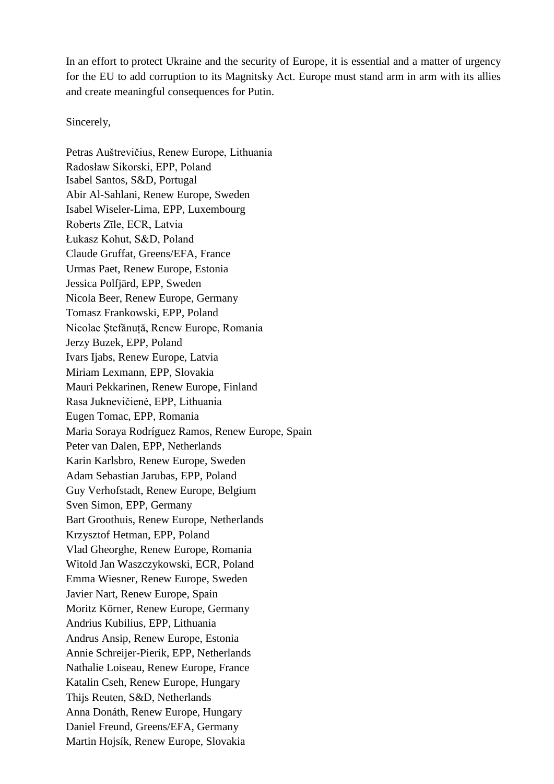In an effort to protect Ukraine and the security of Europe, it is essential and a matter of urgency for the EU to add corruption to its Magnitsky Act. Europe must stand arm in arm with its allies and create meaningful consequences for Putin.

Sincerely,

Petras Auštrevičius, Renew Europe, Lithuania Radosław Sikorski, EPP, Poland Isabel Santos, S&D, Portugal Abir Al-Sahlani, Renew Europe, Sweden Isabel Wiseler-Lima, EPP, Luxembourg Roberts Zīle, ECR, Latvia Łukasz Kohut, S&D, Poland Claude Gruffat, Greens/EFA, France Urmas Paet, Renew Europe, Estonia Jessica Polfjärd, EPP, Sweden Nicola Beer, Renew Europe, Germany Tomasz Frankowski, EPP, Poland Nicolae Ştefănuță, Renew Europe, Romania Jerzy Buzek, EPP, Poland Ivars Ijabs, Renew Europe, Latvia Miriam Lexmann, EPP, Slovakia Mauri Pekkarinen, Renew Europe, Finland Rasa Juknevičienė, EPP, Lithuania Eugen Tomac, EPP, Romania Maria Soraya Rodríguez Ramos, Renew Europe, Spain Peter van Dalen, EPP, Netherlands Karin Karlsbro, Renew Europe, Sweden Adam Sebastian Jarubas, EPP, Poland Guy Verhofstadt, Renew Europe, Belgium Sven Simon, EPP, Germany Bart Groothuis, Renew Europe, Netherlands Krzysztof Hetman, EPP, Poland Vlad Gheorghe, Renew Europe, Romania Witold Jan Waszczykowski, ECR, Poland Emma Wiesner, Renew Europe, Sweden Javier Nart, Renew Europe, Spain Moritz Körner, Renew Europe, Germany Andrius Kubilius, EPP, Lithuania Andrus Ansip, Renew Europe, Estonia Annie Schreijer-Pierik, EPP, Netherlands Nathalie Loiseau, Renew Europe, France Katalin Cseh, Renew Europe, Hungary Thijs Reuten, S&D, Netherlands Anna Donáth, Renew Europe, Hungary Daniel Freund, Greens/EFA, Germany Martin Hojsík, Renew Europe, Slovakia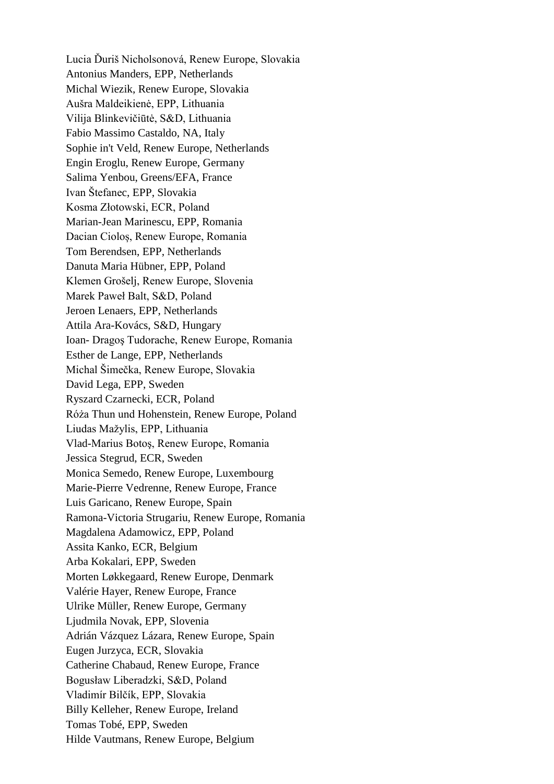Lucia Ďuriš Nicholsonová, Renew Europe, Slovakia Antonius Manders, EPP, Netherlands Michal Wiezik, Renew Europe, Slovakia Aušra Maldeikienė, EPP, Lithuania Vilija Blinkevičiūtė, S&D, Lithuania Fabio Massimo Castaldo, NA, Italy Sophie in't Veld, Renew Europe, Netherlands Engin Eroglu, Renew Europe, Germany Salima Yenbou, Greens/EFA, France Ivan Štefanec, EPP, Slovakia Kosma Złotowski, ECR, Poland Marian-Jean Marinescu, EPP, Romania Dacian Cioloș, Renew Europe, Romania Tom Berendsen, EPP, Netherlands Danuta Maria Hübner, EPP, Poland Klemen Grošelj, Renew Europe, Slovenia Marek Paweł Balt, S&D, Poland Jeroen Lenaers, EPP, Netherlands Attila Ara-Kovács, S&D, Hungary Ioan- Dragoş Tudorache, Renew Europe, Romania Esther de Lange, EPP, Netherlands Michal Šimečka, Renew Europe, Slovakia David Lega, EPP, Sweden Ryszard Czarnecki, ECR, Poland Róża Thun und Hohenstein, Renew Europe, Poland Liudas Mažylis, EPP, Lithuania Vlad-Marius Botoş, Renew Europe, Romania Jessica Stegrud, ECR, Sweden Monica Semedo, Renew Europe, Luxembourg Marie-Pierre Vedrenne, Renew Europe, France Luis Garicano, Renew Europe, Spain Ramona-Victoria Strugariu, Renew Europe, Romania Magdalena Adamowicz, EPP, Poland Assita Kanko, ECR, Belgium Arba Kokalari, EPP, Sweden Morten Løkkegaard, Renew Europe, Denmark Valérie Hayer, Renew Europe, France Ulrike Müller, Renew Europe, Germany Ljudmila Novak, EPP, Slovenia Adrián Vázquez Lázara, Renew Europe, Spain Eugen Jurzyca, ECR, Slovakia Catherine Chabaud, Renew Europe, France Bogusław Liberadzki, S&D, Poland Vladimír Bilčík, EPP, Slovakia Billy Kelleher, Renew Europe, Ireland Tomas Tobé, EPP, Sweden Hilde Vautmans, Renew Europe, Belgium